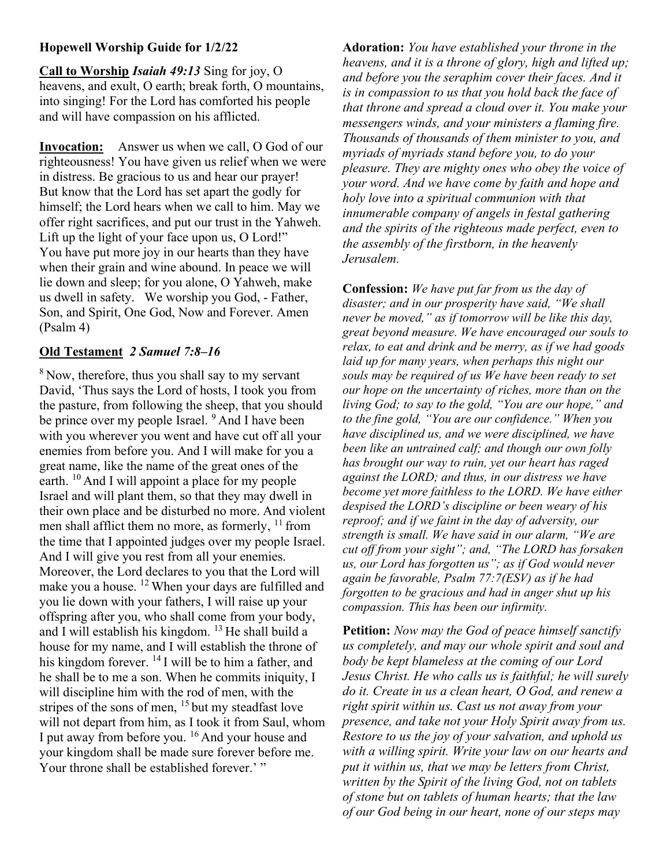## Hopewell Worship Guide for 1/2/22

Call to Worship Isaiah 49:13 Sing for joy, O heavens, and exult, O earth; break forth, O mountains, into singing! For the Lord has comforted his people and will have compassion on his afflicted.

Invocation: Answer us when we call, O God of our righteousness! You have given us relief when we were in distress. Be gracious to us and hear our prayer! But know that the Lord has set apart the godly for himself; the Lord hears when we call to him. May we offer right sacrifices, and put our trust in the Yahweh. Lift up the light of your face upon us, O Lord!" You have put more joy in our hearts than they have when their grain and wine abound. In peace we will lie down and sleep; for you alone, O Yahweh, make us dwell in safety. We worship you God, - Father, Son, and Spirit, One God, Now and Forever. Amen (Psalm 4)

## Old Testament 2 Samuel 7:8–16

 $8$  Now, therefore, thus you shall say to my servant David, 'Thus says the Lord of hosts, I took you from the pasture, from following the sheep, that you should be prince over my people Israel. <sup>9</sup> And I have been with you wherever you went and have cut off all your enemies from before you. And I will make for you a great name, like the name of the great ones of the earth.  $^{10}$  And I will appoint a place for my people Israel and will plant them, so that they may dwell in their own place and be disturbed no more. And violent men shall afflict them no more, as formerly,  $11$  from the time that I appointed judges over my people Israel. And I will give you rest from all your enemies. Moreover, the Lord declares to you that the Lord will make you a house. <sup>12</sup> When your days are fulfilled and you lie down with your fathers, I will raise up your offspring after you, who shall come from your body, and I will establish his kingdom.  $13$  He shall build a house for my name, and I will establish the throne of his kingdom forever. <sup>14</sup> I will be to him a father, and he shall be to me a son. When he commits iniquity, I will discipline him with the rod of men, with the stripes of the sons of men,  $15$  but my steadfast love will not depart from him, as I took it from Saul, whom I put away from before you. <sup>16</sup> And your house and your kingdom shall be made sure forever before me. Your throne shall be established forever.' "

Adoration: You have established your throne in the heavens, and it is a throne of glory, high and lifted up; and before you the seraphim cover their faces. And it is in compassion to us that you hold back the face of that throne and spread a cloud over it. You make your messengers winds, and your ministers a flaming fire. Thousands of thousands of them minister to you, and myriads of myriads stand before you, to do your pleasure. They are mighty ones who obey the voice of your word. And we have come by faith and hope and holy love into a spiritual communion with that innumerable company of angels in festal gathering and the spirits of the righteous made perfect, even to the assembly of the firstborn, in the heavenly Jerusalem.

Confession: We have put far from us the day of disaster; and in our prosperity have said, "We shall never be moved," as if tomorrow will be like this day, great beyond measure. We have encouraged our souls to relax, to eat and drink and be merry, as if we had goods laid up for many years, when perhaps this night our souls may be required of us We have been ready to set our hope on the uncertainty of riches, more than on the living God; to say to the gold, "You are our hope," and to the fine gold, "You are our confidence." When you have disciplined us, and we were disciplined, we have been like an untrained calf; and though our own folly has brought our way to ruin, yet our heart has raged against the LORD; and thus, in our distress we have become yet more faithless to the LORD. We have either despised the LORD's discipline or been weary of his reproof; and if we faint in the day of adversity, our strength is small. We have said in our alarm, "We are cut off from your sight"; and, "The LORD has forsaken us, our Lord has forgotten us"; as if God would never again be favorable, Psalm 77:7(ESV) as if he had forgotten to be gracious and had in anger shut up his compassion. This has been our infirmity.

Petition: Now may the God of peace himself sanctify us completely, and may our whole spirit and soul and body be kept blameless at the coming of our Lord Jesus Christ. He who calls us is faithful; he will surely do it. Create in us a clean heart, O God, and renew a right spirit within us. Cast us not away from your presence, and take not your Holy Spirit away from us. Restore to us the joy of your salvation, and uphold us with a willing spirit. Write your law on our hearts and put it within us, that we may be letters from Christ, written by the Spirit of the living God, not on tablets of stone but on tablets of human hearts; that the law of our God being in our heart, none of our steps may